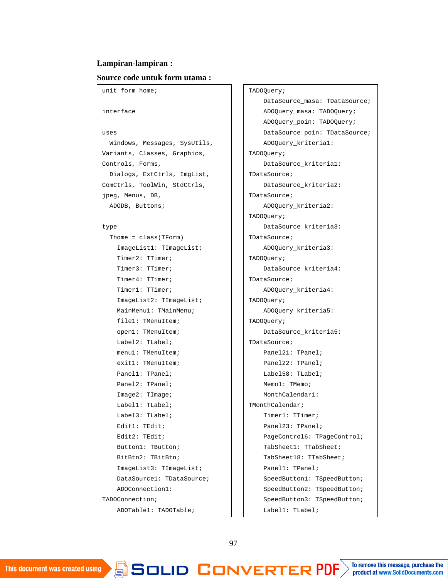## **Lampiran-lampiran :**

## **Source code untuk form utama :**

```
unit form home;
interface
uses
  Windows, Messages, SysUtils,
Variants, Classes, Graphics,
Controls, Forms,
 Dialogs, ExtCtrls, ImgList,
ComCtrls, ToolWin, StdCtrls,
jpeg, Menus, DB,
 ADODB, Buttons;
type
  Thome = class(TForm)
    ImageList1: TImageList;
    Timer2: TTimer;
    Timer3: TTimer;
    Timer4: TTimer;
    Timer1: TTimer;
    ImageList2: TImageList;
    MainMenu1: TMainMenu;
    file1: TMenuItem;
    open1: TMenuItem;
    Label2: TLabel;
    menu1: TMenuItem;
    exit1: TMenuItem;
```
Panel1: TPanel; Panel2: TPanel; Image2: TImage; Label1: TLabel; Label3: TLabel; Edit1: TEdit; Edit2: TEdit; Button1: TButton; BitBtn2: TBitBtn; ImageList3: TImageList; DataSource1: TDataSource; ADOConnection1: TADOConnection;

ADOTable1: TADOTable;

Pata <u>Latin Cite</u>min  $\mathbb{S}$  colli $\mathbb{D}$  is

## TADOQuery;

DataSource masa: TDataSource; ADOQuery\_masa: TADOQuery; ADOQuery\_poin: TADOQuery; DataSource\_poin: TDataSource; ADOQuery\_kriteria1: TADOQuery; DataSource\_kriteria1: TDataSource; DataSource\_kriteria2: TDataSource; ADOQuery\_kriteria2: TADOQuery; DataSource\_kriteria3: TDataSource; ADOQuery\_kriteria3: TADOQuery; DataSource\_kriteria4: TDataSource; ADOQuery\_kriteria4: TADOQuery; ADOQuery\_kriteria5: TADOQuery; DataSource\_kriteria5: TDataSource; Panel21: TPanel; Panel22: TPanel; Label58: TLabel; Memo1: TMemo; MonthCalendar1: TMonthCalendar; Timer1: TTimer; Panel23: TPanel; PageControl6: TPageControl; TabSheet1: TTabSheet; TabSheet18: TTabSheet; Panel1: TPanel; SpeedButton1: TSpeedButton; SpeedButton2: TSpeedButton; SpeedButton3: TSpeedButton; Label1: TLabel;

Edit2: TEdit; Edit3: TEdit;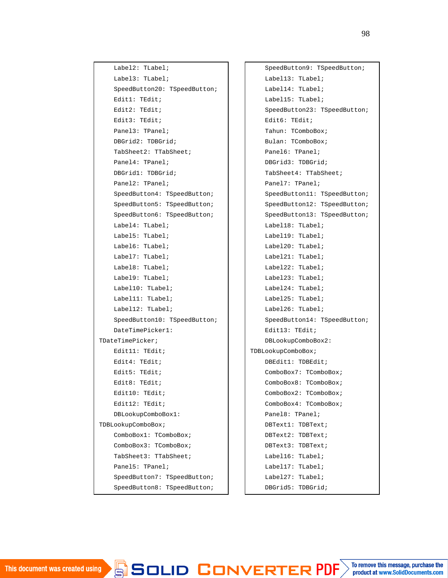Label2: TLabel; Label3: TLabel; SpeedButton20: TSpeedButton; Edit1: TEdit; Edit2: TEdit; Edit3: TEdit; Panel3: TPanel; DBGrid2: TDBGrid; TabSheet2: TTabSheet; Panel4: TPanel; DBGrid1: TDBGrid; Panel2: TPanel; SpeedButton4: TSpeedButton; SpeedButton5: TSpeedButton; SpeedButton6: TSpeedButton; Label4: TLabel; Label5: TLabel; Label6: TLabel; Label7: TLabel; Label8: TLabel; Label9: TLabel; Label10: TLabel; Label11: TLabel; Label12: TLabel; SpeedButton10: TSpeedButton; DateTimePicker1: TDateTimePicker; Edit11: TEdit; Edit4: TEdit; Edit5: TEdit; Edit8: TEdit; Edit10: TEdit; Edit12: TEdit; DBLookupComboBox1: TDBLookupComboBox; ComboBox1: TComboBox; ComboBox3: TComboBox; TabSheet3: TTabSheet; Panel5: TPanel; SpeedButton7: TSpeedButton; SpeedButton8: TSpeedButton;

> $\Box$ BIJULI

SpeedButton9: TSpeedButton; Label13: TLabel; Label14: TLabel; Label15: TLabel; SpeedButton23: TSpeedButton; Edit6: TEdit; Tahun: TComboBox; Bulan: TComboBox; Panel6: TPanel; DBGrid3: TDBGrid; TabSheet4: TTabSheet; Panel7: TPanel; SpeedButton11: TSpeedButton; SpeedButton12: TSpeedButton; SpeedButton13: TSpeedButton; Label18: TLabel; Label19: TLabel; Label20: TLabel; Label21: TLabel; Label22: TLabel; Label23: TLabel; Label24: TLabel; Label25: TLabel; Label26: TLabel; SpeedButton14: TSpeedButton; Edit13: TEdit; DBLookupComboBox2: TDBLookupComboBox; DBEdit1: TDBEdit; ComboBox7: TComboBox; ComboBox8: TComboBox; ComboBox2: TComboBox; ComboBox4: TComboBox; Panel8: TPanel; DBText1: TDBText; DBText2: TDBText; DBText3: TDBText; Label16: TLabel; Label17: TLabel; Label27: TLabel; DBGrid5: TDBGrid;

> DBEdit9: TDBEdit; RIERPD

product at www.SolidDocuments.com

98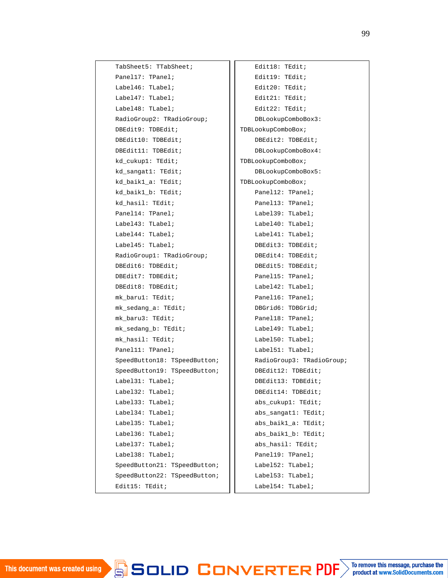| TabSheet5: TTabSheet;        | Edit18: TEdit;            |
|------------------------------|---------------------------|
| Panel17: TPanel;             | Edit19: TEdit;            |
| Label46: TLabel;             | Edit20: TEdit;            |
| Label47: TLabel;             | Edit21: TEdit;            |
| Label48: TLabel;             | Edit22: TEdit;            |
| RadioGroup2: TRadioGroup;    | DBLookupComboBox3:        |
| DBEdit9: TDBEdit;            | TDBLookupComboBox;        |
| DBEdit10: TDBEdit;           | DBEdit2: TDBEdit;         |
| DBEdit11: TDBEdit;           | DBLookupComboBox4:        |
| kd_cukup1: TEdit;            | TDBLookupComboBox;        |
| kd_sangat1: TEdit;           | DBLookupComboBox5:        |
| kd_baik1_a: TEdit;           | TDBLookupComboBox;        |
| kd_baik1_b: TEdit;           | Panel12: TPanel;          |
| kd_hasil: TEdit;             | Panel13: TPanel;          |
| Panel14: TPanel;             | Label39: TLabel;          |
| Label43: TLabel;             | Label40: TLabel;          |
| Label44: TLabel;             | Label41: TLabel;          |
| Label45: TLabel;             | DBEdit3: TDBEdit;         |
| RadioGroup1: TRadioGroup;    | DBEdit4: TDBEdit;         |
| DBEdit6: TDBEdit;            | DBEdit5: TDBEdit;         |
| DBEdit7: TDBEdit;            | Panel15: TPanel;          |
| DBEdit8: TDBEdit;            | Label42: TLabel;          |
| mk_baru1: TEdit;             | Panel16: TPanel;          |
| mk_sedang_a: TEdit;          | DBGrid6: TDBGrid;         |
| mk_baru3: TEdit;             | Panel18: TPanel;          |
| mk_sedang_b: TEdit;          | Label49: TLabel;          |
| mk_hasil: TEdit;             | Label50: TLabel;          |
| Panel11: TPanel;             | Label51: TLabel;          |
| SpeedButton18: TSpeedButton; | RadioGroup3: TRadioGroup; |
| SpeedButton19: TSpeedButton; | DBEdit12: TDBEdit;        |
| Label31: TLabel;             | DBEdit13: TDBEdit;        |
| Label32: TLabel;             | DBEdit14: TDBEdit;        |
| Label33: TLabel;             | abs_cukup1: TEdit;        |
| Label34: TLabel;             | abs_sangat1: TEdit;       |
| Label35: TLabel;             | abs_baik1_a: TEdit;       |
| Label36: TLabel;             | abs_baik1_b: TEdit;       |
| Label37: TLabel;             | abs hasil: TEdit;         |
| Label38: TLabel;             | Panel19: TPanel;          |
| SpeedButton21: TSpeedButton; | Label52: TLabel;          |
| SpeedButton22: TSpeedButton; | Label53: TLabel;          |
| Edit15: TEdit;               | Label54: TLabel;          |

The Combob Box; and the Combob Box; and the Combob Box; and the Combob Box; and the Combob Box; and the Combob Box; and the Combob Box; and the Combob Box; and the Combob Box; and the Combob Box; and the Combob Box; and th

A D L L II

erieri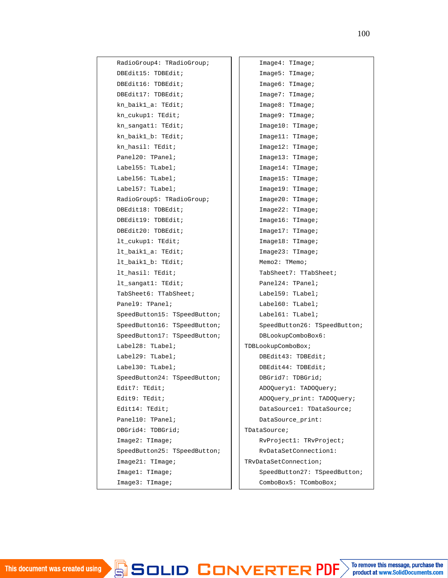| RadioGroup4: TRadioGroup;    | Image4: Timege;              |
|------------------------------|------------------------------|
| DBEdit15: TDBEdit;           | Image5: TIMEge;              |
| DBEdit16: TDBEdit;           | Image6: TIMEge;              |
| DBEdit17: TDBEdit;           | Image7: TIMEge?              |
| kn_baik1_a: TEdit;           | Image8: TIMEge?              |
| kn_cukup1: TEdit;            | Image9: TIMEge;              |
| kn_sangat1: TEdit;           | Image10: TIMEge;             |
| kn baik1 b: TEdit;           | Image11: TImage;             |
| kn_hasil: TEdit;             | Image12: Timege;             |
| Panel20: TPanel;             | Image13: TIMEqe;             |
| Label55: TLabel;             | Image14: TIMEge;             |
| Label56: TLabel;             | Image15: TImage;             |
| Label57: TLabel;             | Image19: TImage;             |
| RadioGroup5: TRadioGroup;    | Image20: TImage;             |
| DBEdit18: TDBEdit;           | Image22: TIMEge;             |
| DBEdit19: TDBEdit;           | Image16: TIMEge;             |
| DBEdit20: TDBEdit;           | Image17: TImage;             |
| lt_cukup1: TEdit;            | Image18: TIMEge;             |
| lt_baik1_a: TEdit;           | Image23: TIMEge;             |
| lt_baik1_b: TEdit;           | $Memo2:$ TMemo;              |
| lt_hasil: TEdit;             | TabSheet7: TTabSheet;        |
| $lt$ _sangat1: TEdit;        | Panel24: TPanel;             |
| TabSheet6: TTabSheet;        | Label59: TLabel;             |
| Panel9: TPanel;              | Label60: TLabel;             |
| SpeedButton15: TSpeedButton; | Label61: TLabel;             |
| SpeedButton16: TSpeedButton; | SpeedButton26: TSpeedButton; |
| SpeedButton17: TSpeedButton; | DBLookupComboBox6:           |
| Label28: TLabel;             | TDBLookupComboBox;           |
| Label29: TLabel;             | DBEdit43: TDBEdit;           |
| Label30: TLabel;             | DBEdit44: TDBEdit;           |
| SpeedButton24: TSpeedButton; | DBGrid7: TDBGrid;            |
| Edit7: TEdit;                | ADOQuery1: TADOQuery;        |
| Edit9: TEdit;                | ADOQuery_print: TADOQuery;   |
| Edit14: TEdit;               | DataSourcel: TDataSource;    |
| Panel10: TPanel;             | DataSource_print:            |
| DBGrid4: TDBGrid;            | TDataSource;                 |
| Image2: TIMEge?              | RvProject1: TRvProject;      |
| SpeedButton25: TSpeedButton; | RvDataSetConnection1:        |
| Image21: Timege;             | TRvDataSetConnection;        |
| Image1: TImage;              | SpeedButton27: TSpeedButton; |
| Image3: TIMEge;              | ComboBox5: TComboBox;        |

procedure

SpeedButton3Click(Sender:

Image11: TImage; <u>image</u><br>12: Timage: Timage: Timage: Timage: Timage: Timage: Timage: Timage: Timage: Timage: Timage: Timage: Timage: Tim<br>12: Timage: Timage: Timage: Timage: Timage: Timage: Timage: Timage: Timage: Timage: Timage: Timage: Ti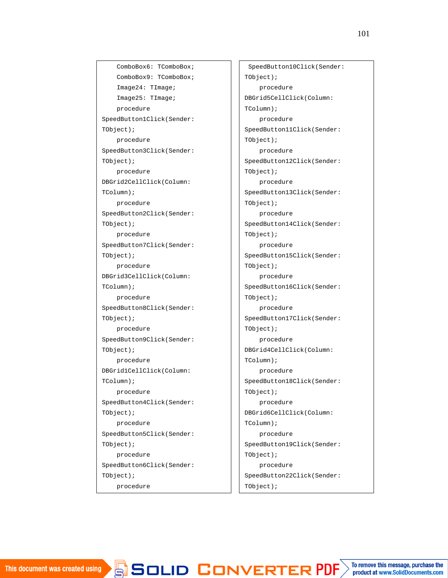ComboBox6: TComboBox; ComboBox9: TComboBox; Image24: TImage; Image25: TImage; procedure SpeedButton1Click(Sender: TObject); procedure SpeedButton3Click(Sender: TObject); procedure DBGrid2CellClick(Column: TColumn); procedure SpeedButton2Click(Sender: TObject); procedure SpeedButton7Click(Sender: TObject); procedure DBGrid3CellClick(Column: TColumn); procedure SpeedButton8Click(Sender: TObject); procedure SpeedButton9Click(Sender: TObject); procedure DBGrid1CellClick(Column: TColumn); procedure SpeedButton4Click(Sender: TObject); procedure SpeedButton5Click(Sender: TObject); procedure SpeedButton6Click(Sender: TObject);

procedure

SpeedButton11Click(Sender: SpeedButton11Click(Sender: SpeedButton11Click(Sender: SpeedButton11Click(Sender: SpeedButton11Click(Sender: SpeedButton11Click(Sender: SpeedButton11Click(Sender: SpeedButton11Click(Sender: SpeedB

SpeedButton10Click(Sender: TObject); procedure DBGrid5CellClick(Column: TColumn); procedure SpeedButton11Click(Sender: TObject); procedure SpeedButton12Click(Sender: TObject); procedure SpeedButton13Click(Sender: TObject); procedure SpeedButton14Click(Sender: TObject); procedure SpeedButton15Click(Sender: TObject); procedure SpeedButton16Click(Sender: TObject); procedure SpeedButton17Click(Sender: TObject); procedure DBGrid4CellClick(Column: TColumn); procedure SpeedButton18Click(Sender: TObject); procedure DBGrid6CellClick(Column: TColumn); procedure SpeedButton19Click(Sender: TObject); procedure SpeedButton22Click(Sender: TObject);

procedure Timer1Timer(Sender: VER product at www.SolidDocuments.com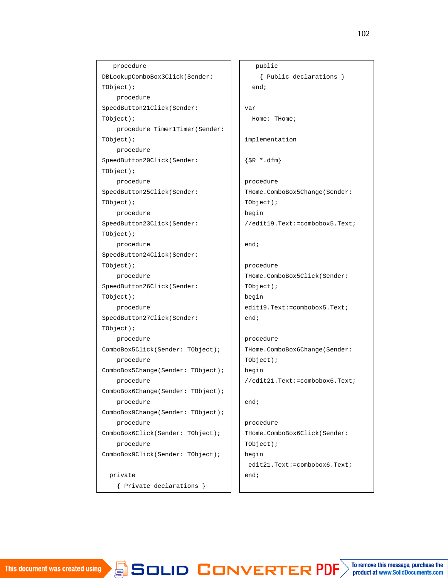```
procedure
DBLookupComboBox3Click(Sender:
TObject);
   procedure
SpeedButton21Click(Sender:
TObject);
   procedure Timer1Timer(Sender:
TObject);
   procedure
SpeedButton20Click(Sender:
TObject);
   procedure
SpeedButton25Click(Sender:
TObject);
   procedure
SpeedButton23Click(Sender:
TObject);
   procedure
SpeedButton24Click(Sender:
TObject);
   procedure
SpeedButton26Click(Sender:
TObject);
    procedure
SpeedButton27Click(Sender:
TObject);
    procedure
ComboBox5Click(Sender: TObject);
   procedure
ComboBox5Change(Sender: TObject);
    procedure
ComboBox6Change(Sender: TObject);
    procedure
ComboBox9Change(Sender: TObject);
    procedure
ComboBox6Click(Sender: TObject);
   procedure
ComboBox9Click(Sender: TObject);
 private
    { Private declarations }
```

```
public
    { Public declarations }
  end;
var
 Home: THome;
implementation
{$R *.dfm}
procedure
THome.ComboBox5Change(Sender:
TObject);
begin
//edit19.Text:=combobox5.Text;
end;
procedure
THome.ComboBox5Click(Sender:
TObject);
begin
edit19.Text:=combobox5.Text;
end;
procedure
THome.ComboBox6Change(Sender:
TObject);
begin
//edit21.Text:=combobox6.Text;
end;
procedure
THome.ComboBox6Click(Sender:
TObject);
begin
 edit21.Text:=combobox6.Text;
end;
```

```
procedure et de la procedure de la procedure de la procedure de la procedure de la procedure de la procedure d
```
Thomas Combob Box9Click(Sender: Combob Box9Click(Sender: Combob Box9Click(Sender: Com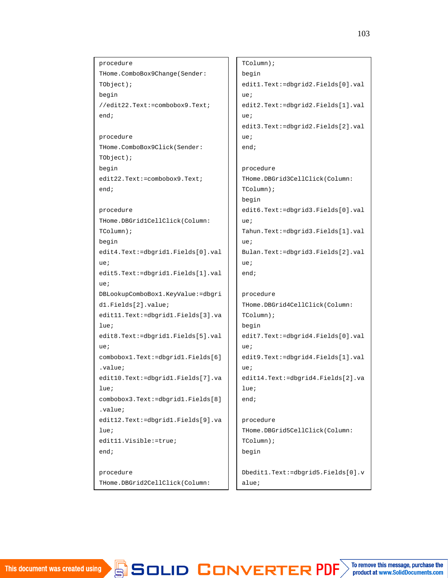procedure THome.ComboBox9Change(Sender: TObject); begin //edit22.Text:=combobox9.Text; end; procedure THome.ComboBox9Click(Sender: TObject); begin edit22.Text:=combobox9.Text; end; procedure THome.DBGrid1CellClick(Column: TColumn); begin edit4.Text:=dbgrid1.Fields[0].val ue; edit5.Text:=dbgrid1.Fields[1].val ue; DBLookupComboBox1.KeyValue:=dbgri d1.Fields[2].value; edit11.Text:=dbgrid1.Fields[3].va lue; edit8.Text:=dbgrid1.Fields[5].val ue; combobox1.Text:=dbgrid1.Fields[6] .value; edit10.Text:=dbgrid1.Fields[7].va lue; combobox3.Text:=dbgrid1.Fields[8] .value; edit12.Text:=dbgrid1.Fields[9].va lue; edit11.Visible:=true; end; procedure

THome.DBGrid2CellClick(Column:

edit3.Text:=dbgrid=dbgrid=dbgrid=dbgrid=dbgrid=dbgrid=dbgrid=dbgrid=dbgrid=dbgrid=dbgrid=dbgrid=dbgrid=dbgrid=<br>=

TColumn); begin edit1.Text:=dbgrid2.Fields[0].val ue; edit2.Text:=dbgrid2.Fields[1].val ue; edit3.Text:=dbgrid2.Fields[2].val  $\mathbf{u} \in \mathbf{H}$ end; procedure THome.DBGrid3CellClick(Column: TColumn); begin edit6.Text:=dbgrid3.Fields[0].val ue; Tahun.Text:=dbgrid3.Fields[1].val ue; Bulan.Text:=dbgrid3.Fields[2].val  $\overline{u}$ : end; procedure THome.DBGrid4CellClick(Column: TColumn); begin edit7.Text:=dbgrid4.Fields[0].val ue; edit9.Text:=dbgrid4.Fields[1].val ue; edit14.Text:=dbgrid4.Fields[2].va lue; end; procedure THome.DBGrid5CellClick(Column: TColumn); begin Dbedit1.Text:=dbgrid5.Fields[0].v

combox8.Text:=dbgrid=dbgrid=dbgrid=dbgrid=dbgrid=dbgrid=dbgrid=dbgrid=dbgrid=dbgrid=dbgrid=dbgrid=dbgrid=dbgri

alue;

 $\sqrt{ }$ 

end;

To remove this message, purchase the product at www.SolidDocuments.com combo x<sup>2</sup> and <sup>2</sup>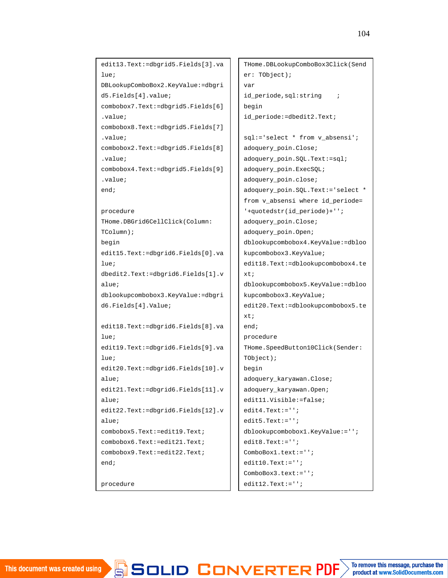```
edit13.Text:=dbgrid5.Fields[3].va
lue;
DBLookupComboBox2.KeyValue:=dbgri
d5.Fields[4].value;
combobox7.Text:=dbgrid5.Fields[6]
.value;
combobox8.Text:=dbgrid5.Fields[7]
.value;
combobox2.Text:=dbgrid5.Fields[8]
\overline{v}alue:
combobox4.Text:=dbgrid5.Fields[9]
.value;
end;
procedure
THome.DBGrid6CellClick(Column:
TColumn);
begin
edit15.Text:=dbgrid6.Fields[0].va
lue;
dbedit2.Text:=dbgrid6.Fields[1].v
alue;
dblookupcombobox3.KeyValue:=dbgri
d6.Fields[4].Value;
edit18.Text:=dbgrid6.Fields[8].va
lue;
edit19.Text:=dbgrid6.Fields[9].va
lue;
edit20.Text:=dbgrid6.Fields[10].v
alue;
edit21.Text:=dbgrid6.Fields[11].v
alue;
edit22.Text:=dbgrid6.Fields[12].v
alue;
combobox5.Text:=edit19.Text;
combobox6.Text:=edit21.Text;
combobox9.Text:=edit22.Text;
end;
procedure
```

```
THome.DBLookupComboBox3Click(Send
er: TObject);
var
id_periode, sql: string ;
begin
id_periode:=dbedit2.Text;
sql:='select * from v_absensi';
adoquery_poin.Close;
adoquery_poin.SQL.Text:=sql;
adoquery_poin.ExecSQL;
adoquery_poin.close;
adoquery_poin.SQL.Text:='select *
from v absensi where id periode=
'+quotedstr(id_periode)+'';
adoquery_poin.Close;
adoquery_poin.Open;
dblookupcombobox4.KeyValue:=dbloo
kupcombobox3.KeyValue;
edit18.Text:=dblookupcombobox4.te
xt;
dblookupcombobox5.KeyValue:=dbloo
kupcombobox3.KeyValue;
edit20.Text:=dblookupcombobox5.te
xt;
end;
procedure
THome.SpeedButton10Click(Sender:
TObject);
begin
adoquery_karyawan.Close;
adoquery_karyawan.Open;
edit11.Visible:=false;
edit4.Text:='';
edit5.Text:='';
dblookupcombobox1.KeyValue:='';
edif8.Text:=''':ComboBox1.text:='';
edit10.Text:='';
ComboBox3.text:='';
edit12.Text:=''
```
, masuk,sakit,izin,alpha,sakit,izin,alpha,s $\angle$ 

adoquery\_poin.Close;

```
\blacktrianglerightsclich: from \blacktriangleright from \blacktriangleright from \blacktriangleright from \blacktriangleright from \blacktriangleright
```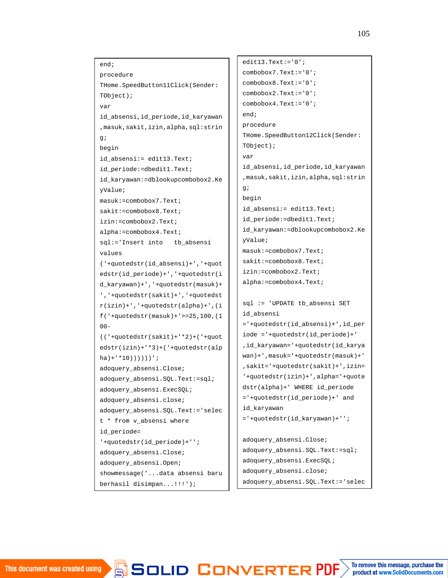```
end;
procedure
THome.SpeedButton11Click(Sender:
TObject);
var
id_absensi,id_periode,id_karyawan
,masuk,sakit,izin,alpha,sql:strin
g;
begin
id_absensi:= edit13.Text;
id_periode:=dbedit1.Text;
id_karyawan:=dblookupcombobox2.Ke
yValue;
masuk:=combobox7.Text;
sakit:=combobox8.Text;
izin:=combobox2.Text;
alpha:=combobox4.Text;
sql:='Insert into tb_absensi
values
('+quotedstr(id_absensi)+','+quot
edstr(id_periode)+','+quotedstr(i
d_karyawan)+','+quotedstr(masuk)+
','+quotedstr(sakit)+','+quotedst
r(izin)+','+quotedstr(alpha)+',(i
f('+quotedstr(masuk)+'>=25,100,(1
00-(('+quotedstr(sakit)+'*2)+('+quot
edstr(izin)+'*3)+('+quotedstr(alp
ha)+'*10))))))';
adoquery_absensi.Close;
adoquery_absensi.SQL.Text:=sql;
adoquery_absensi.ExecSQL;
adoquery_absensi.close;
adoquery_absensi.SQL.Text:='selec
t * from v_absensi where
id_periode=
'+quotedstr(id_periode)+'';
adoquery_absensi.Close;
adoquery_absensi.Open;
showmessage('...data absensi baru
berhasil disimpan...!!!');
                                       edit13.Text:='0'icombobox7.Text:='0';
                                       combobox8.Text:='0';
                                       combobox2.Text:='0';
                                       combobox4.Text:='0';
                                       end;
                                       procedure
                                       THome.SpeedButton12Click(Sender:
                                       TObject);
                                       var
                                       id_absensi,id_periode,id_karyawan
                                       ,masuk,sakit,izin,alpha,sql:strin
                                       g;
                                       begin
                                       id_absensi:= edit13.Text;
                                       id_periode:=dbedit1.Text;
                                       id_karyawan:=dblookupcombobox2.Ke
                                       yValue;
                                       masuk:=combobox7.Text;
                                       sakit:=combobox8.Text;
                                       izin:=combobox2.Text;
                                       alpha:=combobox4.Text;
                                       sql := 'UPDATE tb_absensi SET
                                       id_absensi
                                       ='+quotedstr(id_absensi)+',id_per
                                       iode ='+quotedstr(id_periode)+'
                                       ,id_karyawan='+quotedstr(id_karya
                                       wan)+',masuk='+quotedstr(masuk)+'
                                       ,sakit='+quotedstr(sakit)+',izin=
                                       '+quotedstr(izin)+',alpha='+quote
                                       dstr(alpha)+' WHERE id_periode
                                       ='+quotedstr(id_periode)+' and
                                       id_karyawan
                                       ='+quotedstr(id_karyawan)+'';
                                       adoquery_absensi.Close;
                                       adoquery_absensi.SQL.Text:=sql;
                                       adoquery_absensi.ExecSQL;
                                       adoquery_absensi.close;
                                       adoquery_absensi.SQL.Text:='selec
```
combobia and the combobia and the combobia and the combobia and the combobia and the combobia and the combobia

end;

To remove this message, purchase the product at www.SolidDocuments.com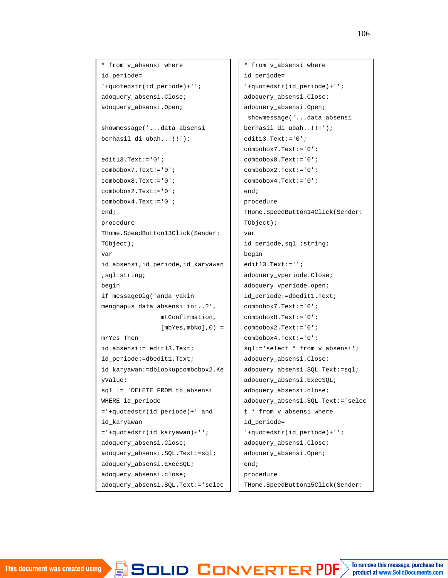```
* from v_absensi where
id_periode=
'+quotedstr(id_periode)+'';
adoquery_absensi.Close;
adoquery_absensi.Open;
showmessage('...data absensi
berhasil di ubah..!!!');
edit13.Text:='0';
combobox7.Text:='0';
combobox8.Text:='0';
combobox2.Text:='0';
combobox4.Text:='0';
end;
procedure
THome.SpeedButton13Click(Sender:
TObject);
var
id_absensi,id_periode,id_karyawan
,sql:string;
begin
if messageDlg('anda yakin
menghapus data absensi ini..?',
                mtConfirmation,
                [mbYes, mbNo], 0) =mrYes Then
id_absensi:= edit13.Text;
id_periode:=dbedit1.Text;
id_karyawan:=dblookupcombobox2.Ke
yValue;
sql := 'DELETE FROM tb_absensi
WHERE id_periode
='+quotedstr(id_periode)+' and
id_karyawan
='+quotedstr(id_karyawan)+'';
adoquery_absensi.Close;
adoquery_absensi.SQL.Text:=sql;
adoquery_absensi.ExecSQL;
adoquery_absensi.close;
adoquery_absensi.SQL.Text:='selec
```
berhasil di ubah...

edit $\mathcal{I}=\mathcal{I}$  . The statistical statistical statistical statistical statistical statistical statistical statistical statistical statistical statistical statistical statistical statistical statistical statistical stat

```
* from v_absensi where
id_periode=
'+quotedstr(id_periode)+'';
adoquery_absensi.Close;
adoquery_absensi.Open;
 showmessage('...data absensi
berhasil di ubah..!!!');
edit13.Text:='0';
combobox7.Text:='0';
combobox8.Text:='0';
combobox2.Text:='0';
combobox4.Text:='0';
end;
procedure
THome.SpeedButton14Click(Sender:
TObject);
var
id_periode,sql :string;
begin
edit13.Text:='';
adoquery_vperiode.Close;
adoquery_vperiode.open;
id_periode:=dbedit1.Text;
combobox7.Text:='0';
combobox8.Text:='0';
combobox2.Text:='0';
combobox4.Text:='0';
sql:='select * from v_absensi';
adoquery_absensi.Close;
adoquery_absensi.SQL.Text:=sql;
adoquery_absensi.ExecSQL;
adoquery_absensi.close;
adoquery_absensi.SQL.Text:='selec
t * from v_absensi where
id_periode=
'+quotedstr(id_periode)+'';
adoquery_absensi.Close;
adoquery_absensi.Open;
end;
procedure
THome.SpeedButton15Click(Sender:
```
user $\mathcal{L}$ 

This document was created using

```
To remove this message, purchase the
SOLID CONVERTER PDF
                                                   product at www.SolidDocuments.com
```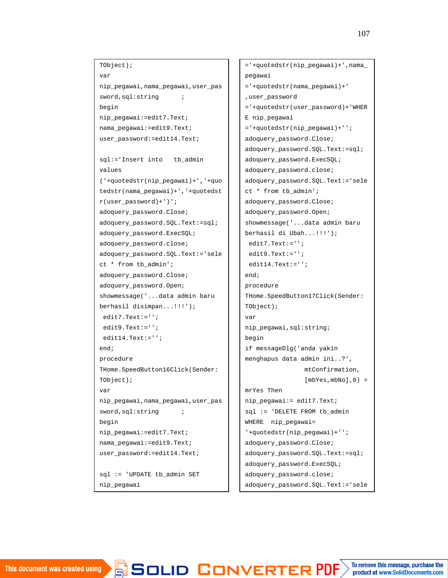TObject); var nip\_pegawai,nama\_pegawai,user\_pas sword, sql: string ; begin nip\_pegawai:=edit7.Text; nama\_pegawai:=edit9.Text; user\_password:=edit14.Text; sql:='Insert into tb\_admin values ('+quotedstr(nip\_pegawai)+','+quo tedstr(nama\_pegawai)+','+quotedst r(user\_password)+')'; adoquery\_password.Close; adoquery\_password.SQL.Text:=sql; adoquery\_password.ExecSQL; adoquery\_password.close; adoquery\_password.SQL.Text:='sele ct \* from tb\_admin'; adoquery\_password.Close; adoquery\_password.Open; showmessage('...data admin baru berhasil disimpan...!!!'); edit7.Text:=''; edit9.Text:=''; edit14.Text:=''; end; procedure THome.SpeedButton16Click(Sender: TObject); var nip\_pegawai,nama\_pegawai,user\_pas sword, sql: string ; begin nip\_pegawai:=edit7.Text; nama\_pegawai:=edit9.Text; user\_password:=edit14.Text; sql := 'UPDATE tb\_admin SET nip\_pegawai

='+quotedstr(nip\_pegawai)+''; edit9.Text:='';

/FRTF6

adoquery\_password.Close;

```
='+quotedstr(nip_pegawai)+',nama_
pegawai
='+quotedstr(nama_pegawai)+'
,user_password
='+quotedstr(user_password)+'WHER
E nip pegawai
='+quotedstr(nip_pegawai)+'';
adoquery_password.Close;
adoquery_password.SQL.Text:=sql;
adoquery_password.ExecSQL;
adoquery_password.close;
adoquery_password.SQL.Text:='sele
ct * from tb_admin';
adoquery_password.Close;
adoquery_password.Open;
showmessage('...data admin baru
berhasil di Ubah...!!!');
edit7.Text:='';
 edit9.Text:='';
edit14.Text:='';
end;
procedure
THome.SpeedButton17Click(Sender:
TObject);
var
nip_pegawai,sql:string;
begin
if messageDlg('anda yakin
menghapus data admin ini..?',
                mtConfirmation,
                [mbYes, mbNo], 0) =mrYes Then
nip_pegawai:= edit7.Text;
sql := 'DELETE FROM tb_admin
WHERE nip_pegawai=
'+quotedstr(nip_pegawai)+'';
adoquery_password.Close;
adoquery_password.SQL.Text:=sql;
adoquery_password.ExecSQL;
adoquery_password.close;
adoquery_password.SQL.Text:='sele
```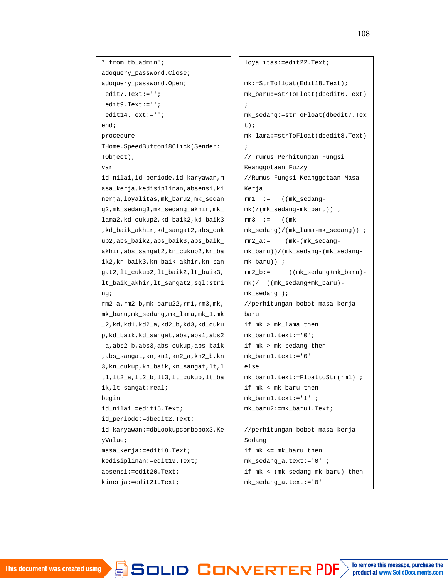\* from tb\_admin'; adoquery password.Close; adoquery\_password.Open; edit7.Text:=''; edit9.Text:=''; edit14.Text:=''; end; procedure THome.SpeedButton18Click(Sender: TObject); var id\_nilai,id\_periode,id\_karyawan,m asa\_kerja,kedisiplinan,absensi,ki nerja,loyalitas,mk\_baru2,mk\_sedan g2,mk\_sedang3,mk\_sedang\_akhir,mk\_ lama2,kd\_cukup2,kd\_baik2,kd\_baik3 ,kd\_baik\_akhir,kd\_sangat2,abs\_cuk up2,abs\_baik2,abs\_baik3,abs\_baik\_ akhir,abs\_sangat2,kn\_cukup2,kn\_ba ik2,kn\_baik3,kn\_baik\_akhir,kn\_san gat2,lt\_cukup2,lt\_baik2,lt\_baik3, lt\_baik\_akhir,lt\_sangat2,sql:stri ng; rm2\_a,rm2\_b,mk\_baru22,rm1,rm3,mk, mk\_baru,mk\_sedang,mk\_lama,mk\_1,mk \_2,kd,kd1,kd2\_a,kd2\_b,kd3,kd\_cuku p,kd\_baik,kd\_sangat,abs,abs1,abs2 \_a,abs2\_b,abs3,abs\_cukup,abs\_baik ,abs\_sangat,kn,kn1,kn2\_a,kn2\_b,kn 3,kn\_cukup,kn\_baik,kn\_sangat,lt,l t1,lt2\_a,lt2\_b,lt3,lt\_cukup,lt\_ba ik,lt\_sangat:real; begin id\_nilai:=edit15.Text; id\_periode:=dbedit2.Text; id\_karyawan:=dbLookupcombobox3.Ke yValue; masa\_kerja:=edit18.Text; kedisiplinan:=edit19.Text; absensi:=edit20.Text; kinerja:=edit21.Text;

```
loyalitas:=edit22.Text;
mk:=StrTofloat(Edit18.Text);
mk_baru:=strToFloat(dbedit6.Text)
;
mk_sedang:=strToFloat(dbedit7.Tex
t);
mk_lama:=strToFloat(dbedit8.Text)
;
// rumus Perhitungan Fungsi
Keanggotaan Fuzzy
//Rumus Fungsi Keanggotaan Masa
Kerja
rm1 := ((mk_sedang-
mk)/(mk_sedang-mk_baru)) ;
rm3 := ((mk-mk_sedang)/(mk_lama-mk_sedang)) ;
rm2 a:= (mk-(mk_sedanq-s_s))mk_baru))/(mk_sedang-(mk_sedang-
mk_baru)) ;
rm2_b:= ((mk_sedang+mk_baru)-
mk)/ ((mk_sedang+mk_baru)-
mk_sedang );
//perhitungan bobot masa kerja
baru
if mk > mk_lama then
mk_baru1.text:='0';
if mk > mk_sedang then
mk_baru1.text:='0'
else
mk_baru1.text:=FloattoStr(rm1) ;
if mk < mk_baru then
mk_baru1.text:='1' ;
mk_baru2:=mk_baru1.Text;
//perhitungan bobot masa kerja
```
Sedang if mk <= mk\_baru then mk\_sedang\_a.text:='0' ; if mk < (mk\_sedang-mk\_baru) then mk\_sedang\_a.text:='0'

 $\textbf{S}$  SOLID CONVERTER PDF  $\textcolor{black}{>}$  To remove this message, purchase the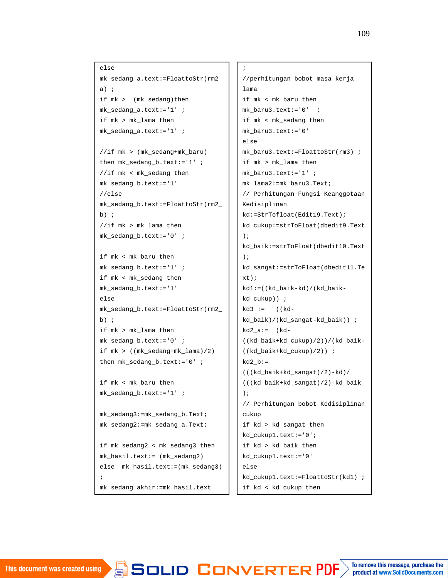```
else
mk_sedang_a.text:=FloattoStr(rm2_
a) ;
if mk > (mk_sedang)then
mk_sedang_a.text:='1' ;
if mk > mk_lama then
mk_sedang_a.text:='1' ;
//if mk > (mk_sedang+mk_baru)
then mk_sedang_b.text:='1' ;
//if mk < mk_sedang then
mk_sedang_b.text:='1'
//else
mk_sedang_b.text:=FloattoStr(rm2_
b) ;
//if mk > mk lama then
mk_sedang_b.text:='0' ;
if mk < mk_baru then
mk_sedang_b.text:='1' ;
if mk < mk_sedang then
mk_sedang_b.text:='1'
else
```
mk\_sedang\_b.text:=FloattoStr(rm2\_ b) ; if mk > mk\_lama then mk\_sedang\_b.text:='0' ; if mk > ((mk\_sedang+mk\_lama)/2) then mk\_sedang\_b.text:='0' ;

if mk < mk\_baru then mk\_sedang\_b.text:='1' ;

if measurement  $\mathbb{R}^n$ 

mk\_sedang3:=mk\_sedang\_b.Text; mk\_sedang2:=mk\_sedang\_a.Text;

if mk\_sedang2 < mk\_sedang3 then mk\_hasil.text:= (mk\_sedang2) else mk\_hasil.text:=(mk\_sedang3) ; mk\_sedang\_akhir:=mk\_hasil.text

```
;
//perhitungan bobot masa kerja
lama
if mk < mk_baru then
mk_baru3.text:='0' ;
if mk < mk_sedang then
mk_baru3.text:='0'
else
mk_baru3.text:=FloattoStr(rm3) ;
if mk > mk_lama then
mk baru3.text:='1' ;
mk_lama2:=mk_baru3.Text;
// Perhitungan Fungsi Keanggotaan
Kedisiplinan
kd:=StrTofloat(Edit19.Text);
kd_cukup:=strToFloat(dbedit9.Text
);
kd_baik:=strToFloat(dbedit10.Text
);
kd_sangat:=strToFloat(dbedit11.Te
xt);
kd1:=((kd_baik-kd)/(kd_baik-
kd_cukup)) ;
kd3 := ((kd-kd_baik)/(kd_sangat-kd_baik)) ;
kd2_a := (kd -((kd_baik+kd_cukup)/2))/(kd_baik-
((kd_baik+kd_cukup)/2)) ;
kd2 b:=(((kd_baik+kd_sangat)/2)-kd)/
(((kd_baik+kd_sangat)/2)-kd_baik
);
// Perhitungan bobot Kedisiplinan
cukup
if kd > kd_sangat then
kd_cukup1.text:='0';
if kd > kd_baik then
kd_cukup1.text:='0'
else
kd_cukup1.text:=FloattoStr(kd1) ;
if kd < kd_cukup then
```

```
To remove this message, purchase the
product at www.SolidDocuments.com
```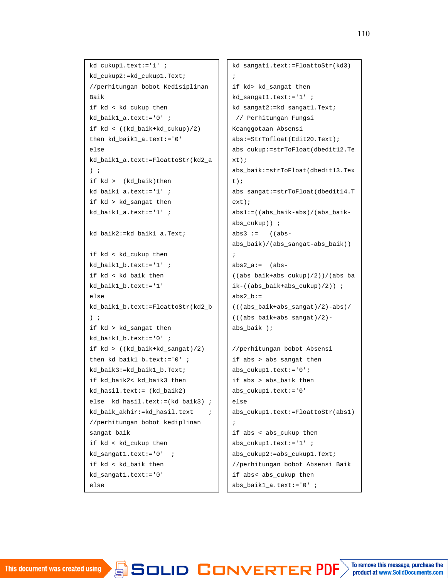```
kd_cukup1.text:='1' ;
kd_cukup2:=kd_cukup1.Text;
//perhitungan bobot Kedisiplinan
Baik
if kd < kd_cukup then
kd baik1 a.text:='0' ;
if kd < ((kd_baik+kd_cukup)/2)
then kd_baik1_a.text:='0'
else
kd_baik1_a.text:=FloattoStr(kd2_a
) ;
if kd > (kd_baik)then
kd_baik1_a.text:='1' ;
if kd > kd_sangat then
kd_baik1_a.text:='1' ;
kd_baik2:=kd_baik1_a.Text;
if kd < kd_cukup then
kd_baik1_b.text:='1' ;
if kd < kd_baik then
kd_baik1_b.text:='1'
else
kd_baik1_b.text:=FloattoStr(kd2_b
) ;
if kd > kd_sangat then
kd_baik1_b.text:='0' ;
if kd > ((kd_baik+kd_sangat)/2)
then kd_baik1_b.text:='0' ;
kd_baik3:=kd_baik1_b.Text;
if kd_baik2< kd_baik3 then
kd_hasil.text:= (kd_baik2)
else kd_hasil.text:=(kd_baik3) ;
kd_baik_akhir:=kd_hasil.text ;
//perhitungan bobot kediplinan
sangat baik
if kd < kd_cukup then
kd_sangat1.text:='0' ;
if kd < kd_baik then
kd_sangat1.text:='0'
```

```
kd_sangat1.text:=FloattoStr(kd3)
;
if kd> kd_sangat then
kd_sangat1.text:='1' ;
kd_sangat2:=kd_sangat1.Text;
 // Perhitungan Fungsi
Keanggotaan Absensi
abs:=StrTofloat(Edit20.Text);
abs_cukup:=strToFloat(dbedit12.Te
xt);
abs_baik:=strToFloat(dbedit13.Tex
t);
abs_sangat:=strToFloat(dbedit14.T
ext);
abs1:=((abs_baik-abs)/(abs_baik-
abs_cukup)) ;
abs3 := ((abs-abs_baik)/(abs_sangat-abs_baik))
;
abs2_a := (abs -((abs_baik+abs_cukup)/2))/(abs_ba
ik-((abs_baik+abs_cukup)/2)) ;
abs2_b :=(((abs_baik+abs_sangat)/2)-abs)/
(((abs_baik+abs_sangat)/2)-
abs baik );
//perhitungan bobot Absensi
if abs > abs_sangat then
abs_cukup1.text:='0';
if abs > abs_baik then
abs_cukup1.text:='0'
else
abs_cukup1.text:=FloattoStr(abs1)
```

```
;
if abs < abs_cukup then
abs_cukup1.text:='1' ;
abs_cukup2:=abs_cukup1.Text;
//perhitungan bobot Absensi Baik
if abs< abs_cukup then
abs_baik1_a.text:='0' ;
```
JVFRTFR P

else

Keanggotaan Absensi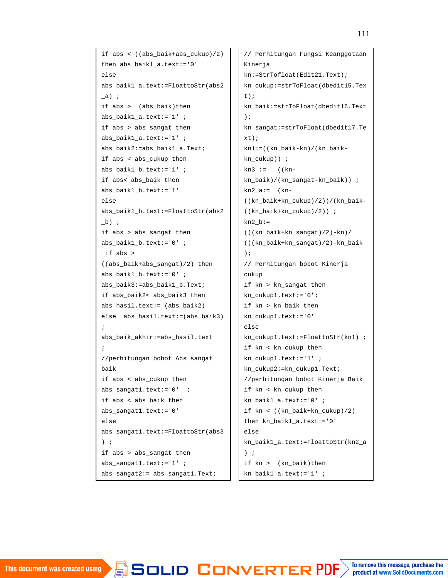```
if abs < ((abs\ baik+abs\ cukup)/2)then abs_baik1_a.text:='0'
else
abs_baik1_a.text:=FloattoStr(abs2
\Boxa) ;
if abs > (abs_baik)then
abs baik1 a.text:='1' ;
if abs > abs_sangat then
abs_baik1_a.text:='1' ;
abs_baik2:=abs_baik1_a.Text;
if abs < abs_cukup then
abs baik1 b.text:='1' ;
if abs< abs_baik then
abs_baik1_b.text:='1'
else
abs_baik1_b.text:=FloattoStr(abs2
_b) ;
if abs > abs_sangat then
abs_baik1_b.text:='0' ;
if abs >
((abs_baik+abs_sangat)/2) then
abs_baik1_b.text:='0' ;
abs_baik3:=abs_baik1_b.Text;
if abs_baik2< abs_baik3 then
abs_hasil.text:= (abs_baik2)
else abs_hasil.text:=(abs_baik3)
;
abs baik akhir:=abs hasil.text
;
//perhitungan bobot Abs sangat
baik
if abs < abs_cukup then
abs_sangat1.text:='0' ;
if abs < abs_baik then
abs_sangat1.text:='0'
else
abs_sangat1.text:=FloattoStr(abs3
) ;
if abs > abs_sangat then
abs_sangat1.text:='1' ;
abs_sangat2:= abs_sangat1.Text;
```
// Perhitungan Fungsi Keanggotaan Kinerja kn:=StrTofloat(Edit21.Text); kn\_cukup:=strToFloat(dbedit15.Tex t); kn\_baik:=strToFloat(dbedit16.Text ); kn\_sangat:=strToFloat(dbedit17.Te xt); kn1:=((kn\_baik-kn)/(kn\_baikkn\_cukup)) ;  $kn3 := ((kn$ kn\_baik)/(kn\_sangat-kn\_baik)) ; kn2  $a:=$  (kn-((kn\_baik+kn\_cukup)/2))/(kn\_baik- ((kn\_baik+kn\_cukup)/2)) ;  $kn2_b:=$ (((kn\_baik+kn\_sangat)/2)-kn)/ (((kn\_baik+kn\_sangat)/2)-kn\_baik ); // Perhitungan bobot Kinerja cukup if kn > kn\_sangat then kn\_cukup1.text:='0'; if kn > kn\_baik then kn\_cukup1.text:='0' else kn\_cukup1.text:=FloattoStr(kn1) ; if kn < kn\_cukup then kn\_cukup1.text:='1' ; kn\_cukup2:=kn\_cukup1.Text; //perhitungan bobot Kinerja Baik if kn < kn\_cukup then kn\_baik1\_a.text:='0' ; if kn < ((kn\_baik+kn\_cukup)/2) then kn\_baik1\_a.text:='0' else kn\_baik1\_a.text:=FloattoStr(kn2\_a ) ; if kn > (kn\_baik)then kn\_baik1\_a.text:='1' ;

kisol in Ronveptep I

t);

);

```
To remove this message, purchase the
product at www.SolidDocuments.com
```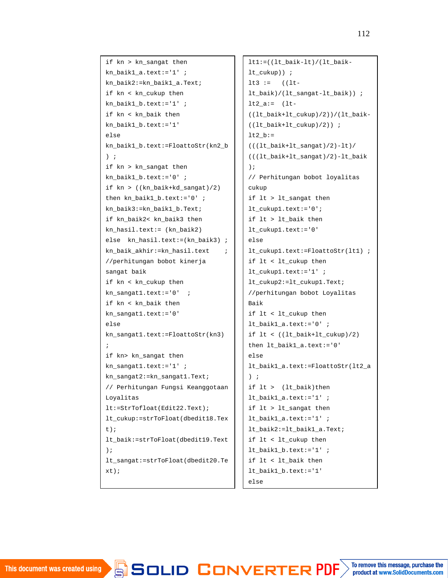```
if kn > kn_sangat then
kn_baik1_a.text:='1' ;
kn baik2:=kn baik1 a.Text;
if kn < kn_cukup then
kn_baik1_b.text:='1' ;
if kn < kn_baik then
kn_baik1_b.text:='1'
else
kn_baik1_b.text:=FloattoStr(kn2_b
) ;
if kn > kn_sangat then
kn baik1 b.text:='0' ;
if kn > ((kn_baik+kd_sangat)/2)
then kn_baik1_b.text:='0' ;
kn_baik3:=kn_baik1_b.Text;
if kn_baik2< kn_baik3 then
kn_hasil.text:= (kn_baik2)
else kn_hasil.text:=(kn_baik3) ;
kn baik akhir:=kn hasil.text \qquad ;
//perhitungan bobot kinerja
sangat baik
if kn < kn_cukup then
kn sangat1.text:='0' ;
if kn < kn_baik then
kn_sangat1.text:='0'
else
kn_sangat1.text:=FloattoStr(kn3)
;
if kn> kn_sangat then
kn sangat1.text:='1' ;
kn_sangat2:=kn_sangat1.Text;
// Perhitungan Fungsi Keanggotaan
Loyalitas
lt:=StrTofloat(Edit22.Text);
lt_cukup:=strToFloat(dbedit18.Tex
t);
lt_baik:=strToFloat(dbedit19.Text
);
lt_sangat:=strToFloat(dbedit20.Te
xt);
```

```
lt1:=((lt_baik-lt)/(lt_baik-
lt_cukup)) ;
lt3 := (lt-lt_baik)/(lt_sangat-lt_baik)) ;
lt2_a:= lt-((lt_baik+lt_cukup)/2))/(lt_baik-
((lt_baik+lt_cukup)/2)) ;
lt2 b:=(((lt_baik+lt_sangat)/2)-lt)/
(((lt_baik+lt_sangat)/2)-lt_baik
);
// Perhitungan bobot loyalitas
cukup
if lt > lt_sangat then
lt_cukup1.text:='0';
if lt > lt_baik then
lt_cukup1.text:='0'
else
lt_cukup1.text:=FloattoStr(lt1) ;
if lt < lt_cukup then
lt_cukup1.text:='1' ;
lt_cukup2:=lt_cukup1.Text;
//perhitungan bobot Loyalitas
Baik
if lt < lt_cukup then
lt_baik1_a.text:='0' ;
if lt < ((lt_baik+lt_cukup)/2)
then lt_baik1_a.text:='0'
else
lt_baik1_a.text:=FloattoStr(lt2_a
) ;
if lt > (lt_baik)then
lt_baik1_a.text:='1' ;
if lt > lt_sangat then
lt_baik1_a.text:='1' ;
lt_baik2:=lt_baik1_a.Text;
if lt < lt_cukup then
lt_baik1_b.text:='1' ;
if lt < lt_baik then
lt_baik1_b.text:='1'
else
```
 $\blacksquare$ 

(((lt\_baik+lt\_sangat)/2)-lt)/ lt\_baik3:=lt\_baik1\_b.Text;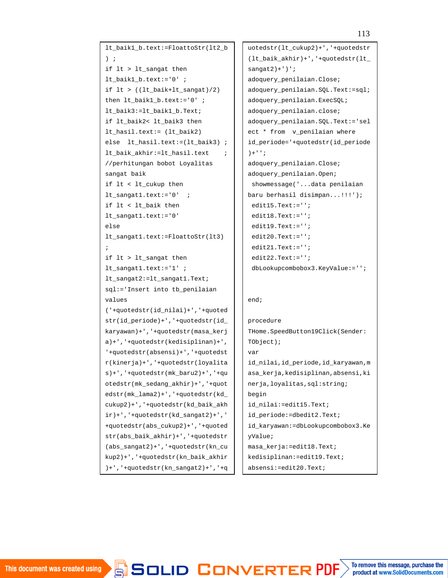lt\_baik1\_b.text:=FloattoStr(lt2\_b  $\lambda$  ; if lt > lt\_sangat then lt\_baik1\_b.text:='0' ; if  $lt$  > ((1t baik+1t sangat)/2) then  $lt$  baik1  $b.text:='0'$  ; lt\_baik3:=lt\_baik1\_b.Text; if lt\_baik2< lt\_baik3 then lt\_hasil.text:= (lt\_baik2) else lt\_hasil.text:=(lt\_baik3) ; lt\_baik\_akhir:=lt\_hasil.text ; //perhitungan bobot Loyalitas sangat baik if lt < lt\_cukup then lt sangat1.text:='0' ; if lt < lt\_baik then lt\_sangat1.text:='0' else lt\_sangat1.text:=FloattoStr(lt3) ; if lt > lt\_sangat then lt sangat1.text:='1' ; lt\_sangat2:=lt\_sangat1.Text; sql:='Insert into tb\_penilaian values ('+quotedstr(id\_nilai)+','+quoted str(id\_periode)+','+quotedstr(id\_ karyawan)+','+quotedstr(masa\_kerj a)+','+quotedstr(kedisiplinan)+', '+quotedstr(absensi)+','+quotedst r(kinerja)+','+quotedstr(loyalita  $s$ )+','+quotedstr(mk\_baru2)+','+qu otedstr(mk\_sedang\_akhir)+','+quot edstr(mk\_lama2)+','+quotedstr(kd\_ cukup2)+','+quotedstr(kd\_baik\_akh  $ir)$  +', '+quotedstr(kd\_sangat2) +', ' +quotedstr(abs\_cukup2)+','+quoted str(abs\_baik\_akhir)+','+quotedstr (abs\_sangat2)+','+quotedstr(kn\_cu kup2)+','+quotedstr(kn\_baik\_akhir )+','+quotedstr(kn\_sangat2)+','+q

adopted by  $\blacksquare$  $\blacksquare$ eijoulid $\blacksquare$ 

uotedstr(lt\_cukup2)+','+quotedstr (lt\_baik\_akhir)+','+quotedstr(lt\_  $sangent2)+'$ )'; adoquery\_penilaian.Close; adoquery\_penilaian.SQL.Text:=sql; adoquery\_penilaian.ExecSQL; adoquery\_penilaian.close; adoquery\_penilaian.SQL.Text:='sel ect \* from v\_penilaian where id\_periode='+quotedstr(id\_periode )+''; adoquery\_penilaian.Close; adoquery\_penilaian.Open; showmessage('...data penilaian baru berhasil disimpan...!!!'); edit15.Text:=''; edit18.Text:=''; edit19.Text:=''; edit20.Text:=''; edit21.Text:=''; edit22.Text:=''; dbLookupcombobox3.KeyValue:=''; end; procedure THome.SpeedButton19Click(Sender: TObject); var id\_nilai,id\_periode,id\_karyawan,m asa\_kerja,kedisiplinan,absensi,ki nerja,loyalitas,sql:string; begin id nilai:=edit15.Text; id\_periode:=dbedit2.Text; id\_karyawan:=dbLookupcombobox3.Ke yValue; masa\_kerja:=edit18.Text; kedisiplinan:=edit19.Text; absensi:=edit20.Text;

```
\blacksquare\lambda exposure the \lambda of \lambda and \lambda and \lambda
```